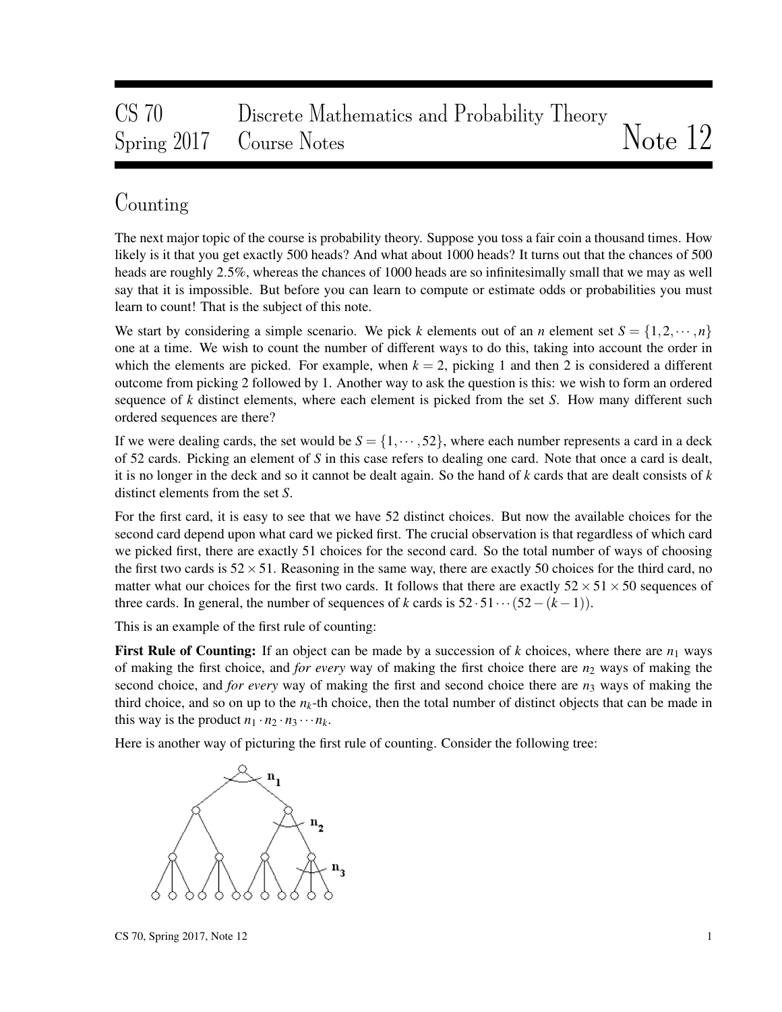# CS 70 Discrete Mathematics and Probability Theory Spring 2017 Course Notes Notes Notes Note 12

### Counting

The next major topic of the course is probability theory. Suppose you toss a fair coin a thousand times. How likely is it that you get exactly 500 heads? And what about 1000 heads? It turns out that the chances of 500 heads are roughly 2.5%, whereas the chances of 1000 heads are so infinitesimally small that we may as well say that it is impossible. But before you can learn to compute or estimate odds or probabilities you must learn to count! That is the subject of this note.

We start by considering a simple scenario. We pick *k* elements out of an *n* element set  $S = \{1, 2, \dots, n\}$ one at a time. We wish to count the number of different ways to do this, taking into account the order in which the elements are picked. For example, when  $k = 2$ , picking 1 and then 2 is considered a different outcome from picking 2 followed by 1. Another way to ask the question is this: we wish to form an ordered sequence of *k* distinct elements, where each element is picked from the set *S*. How many different such ordered sequences are there?

If we were dealing cards, the set would be  $S = \{1, \dots, 52\}$ , where each number represents a card in a deck of 52 cards. Picking an element of *S* in this case refers to dealing one card. Note that once a card is dealt, it is no longer in the deck and so it cannot be dealt again. So the hand of *k* cards that are dealt consists of *k* distinct elements from the set *S*.

For the first card, it is easy to see that we have 52 distinct choices. But now the available choices for the second card depend upon what card we picked first. The crucial observation is that regardless of which card we picked first, there are exactly 51 choices for the second card. So the total number of ways of choosing the first two cards is  $52 \times 51$ . Reasoning in the same way, there are exactly 50 choices for the third card, no matter what our choices for the first two cards. It follows that there are exactly  $52 \times 51 \times 50$  sequences of three cards. In general, the number of sequences of *k* cards is  $52 \cdot 51 \cdots (52-(k-1))$ .

This is an example of the first rule of counting:

First Rule of Counting: If an object can be made by a succession of  $k$  choices, where there are  $n_1$  ways of making the first choice, and *for every* way of making the first choice there are  $n_2$  ways of making the second choice, and *for every* way of making the first and second choice there are *n*<sup>3</sup> ways of making the third choice, and so on up to the  $n_k$ -th choice, then the total number of distinct objects that can be made in this way is the product  $n_1 \cdot n_2 \cdot n_3 \cdots n_k$ .

Here is another way of picturing the first rule of counting. Consider the following tree:

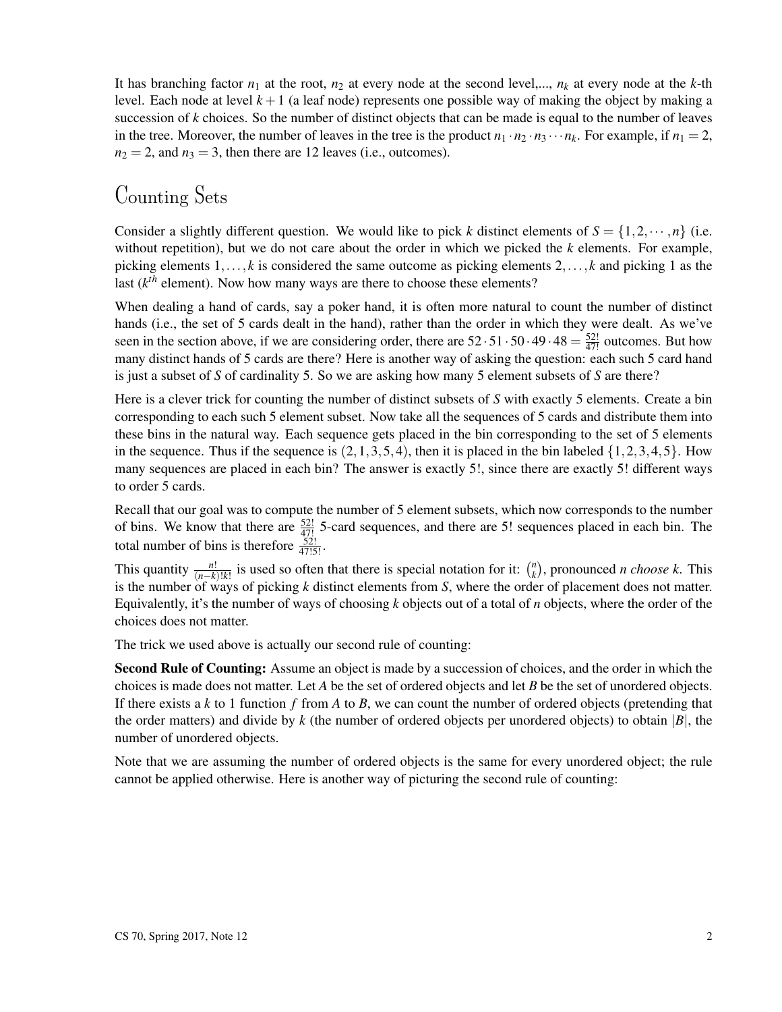It has branching factor  $n_1$  at the root,  $n_2$  at every node at the second level,...,  $n_k$  at every node at the *k*-th level. Each node at level  $k+1$  (a leaf node) represents one possible way of making the object by making a succession of *k* choices. So the number of distinct objects that can be made is equal to the number of leaves in the tree. Moreover, the number of leaves in the tree is the product  $n_1 \cdot n_2 \cdot n_3 \cdots n_k$ . For example, if  $n_1 = 2$ ,  $n_2 = 2$ , and  $n_3 = 3$ , then there are 12 leaves (i.e., outcomes).

## Counting Sets

Consider a slightly different question. We would like to pick *k* distinct elements of  $S = \{1, 2, \dots, n\}$  (i.e. without repetition), but we do not care about the order in which we picked the *k* elements. For example, picking elements 1,..., *k* is considered the same outcome as picking elements 2,..., *k* and picking 1 as the last  $(k<sup>th</sup>$  element). Now how many ways are there to choose these elements?

When dealing a hand of cards, say a poker hand, it is often more natural to count the number of distinct hands (i.e., the set of 5 cards dealt in the hand), rather than the order in which they were dealt. As we've seen in the section above, if we are considering order, there are  $52 \cdot 51 \cdot 50 \cdot 49 \cdot 48 = \frac{52!}{47!}$  outcomes. But how many distinct hands of 5 cards are there? Here is another way of asking the question: each such 5 card hand is just a subset of *S* of cardinality 5. So we are asking how many 5 element subsets of *S* are there?

Here is a clever trick for counting the number of distinct subsets of *S* with exactly 5 elements. Create a bin corresponding to each such 5 element subset. Now take all the sequences of 5 cards and distribute them into these bins in the natural way. Each sequence gets placed in the bin corresponding to the set of 5 elements in the sequence. Thus if the sequence is  $(2,1,3,5,4)$ , then it is placed in the bin labeled  $\{1,2,3,4,5\}$ . How many sequences are placed in each bin? The answer is exactly 5!, since there are exactly 5! different ways to order 5 cards.

Recall that our goal was to compute the number of 5 element subsets, which now corresponds to the number of bins. We know that there are  $\frac{52!}{47!}$  5-card sequences, and there are 5! sequences placed in each bin. The total number of bins is therefore  $\frac{52!}{47!5!}$ .

This quantity  $\frac{n!}{(n-k)!k!}$  is used so often that there is special notation for it:  $\binom{n}{k}$  $\binom{n}{k}$ , pronounced *n choose k*. This is the number of ways of picking *k* distinct elements from *S*, where the order of placement does not matter. Equivalently, it's the number of ways of choosing *k* objects out of a total of *n* objects, where the order of the choices does not matter.

The trick we used above is actually our second rule of counting:

Second Rule of Counting: Assume an object is made by a succession of choices, and the order in which the choices is made does not matter. Let *A* be the set of ordered objects and let *B* be the set of unordered objects. If there exists a *k* to 1 function *f* from *A* to *B*, we can count the number of ordered objects (pretending that the order matters) and divide by  $k$  (the number of ordered objects per unordered objects) to obtain  $|B|$ , the number of unordered objects.

Note that we are assuming the number of ordered objects is the same for every unordered object; the rule cannot be applied otherwise. Here is another way of picturing the second rule of counting: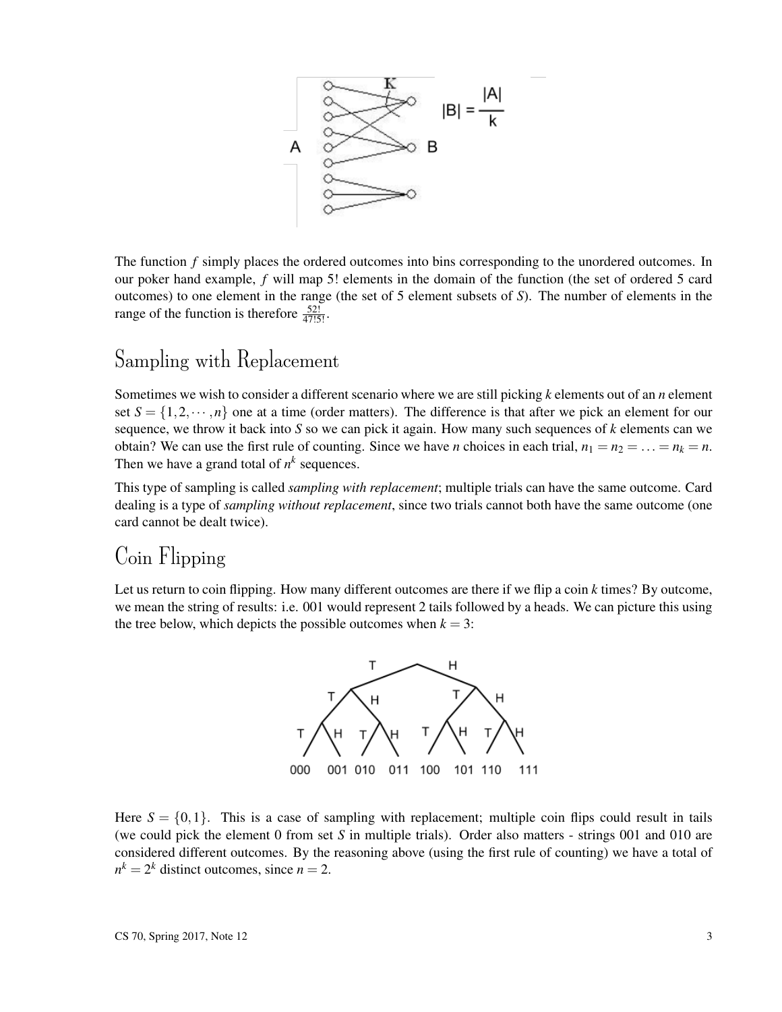

The function *f* simply places the ordered outcomes into bins corresponding to the unordered outcomes. In our poker hand example, *f* will map 5! elements in the domain of the function (the set of ordered 5 card outcomes) to one element in the range (the set of 5 element subsets of *S*). The number of elements in the range of the function is therefore  $\frac{52!}{47!5!}$ .

#### Sampling with Replacement

Sometimes we wish to consider a different scenario where we are still picking *k* elements out of an *n* element set  $S = \{1, 2, \dots, n\}$  one at a time (order matters). The difference is that after we pick an element for our sequence, we throw it back into *S* so we can pick it again. How many such sequences of *k* elements can we obtain? We can use the first rule of counting. Since we have *n* choices in each trial,  $n_1 = n_2 = \ldots = n_k = n$ . Then we have a grand total of  $n^k$  sequences.

This type of sampling is called *sampling with replacement*; multiple trials can have the same outcome. Card dealing is a type of *sampling without replacement*, since two trials cannot both have the same outcome (one card cannot be dealt twice).

#### Coin Flipping

Let us return to coin flipping. How many different outcomes are there if we flip a coin *k* times? By outcome, we mean the string of results: i.e. 001 would represent 2 tails followed by a heads. We can picture this using the tree below, which depicts the possible outcomes when  $k = 3$ :



Here  $S = \{0, 1\}$ . This is a case of sampling with replacement; multiple coin flips could result in tails (we could pick the element 0 from set *S* in multiple trials). Order also matters - strings 001 and 010 are considered different outcomes. By the reasoning above (using the first rule of counting) we have a total of  $n^k = 2^k$  distinct outcomes, since  $n = 2$ .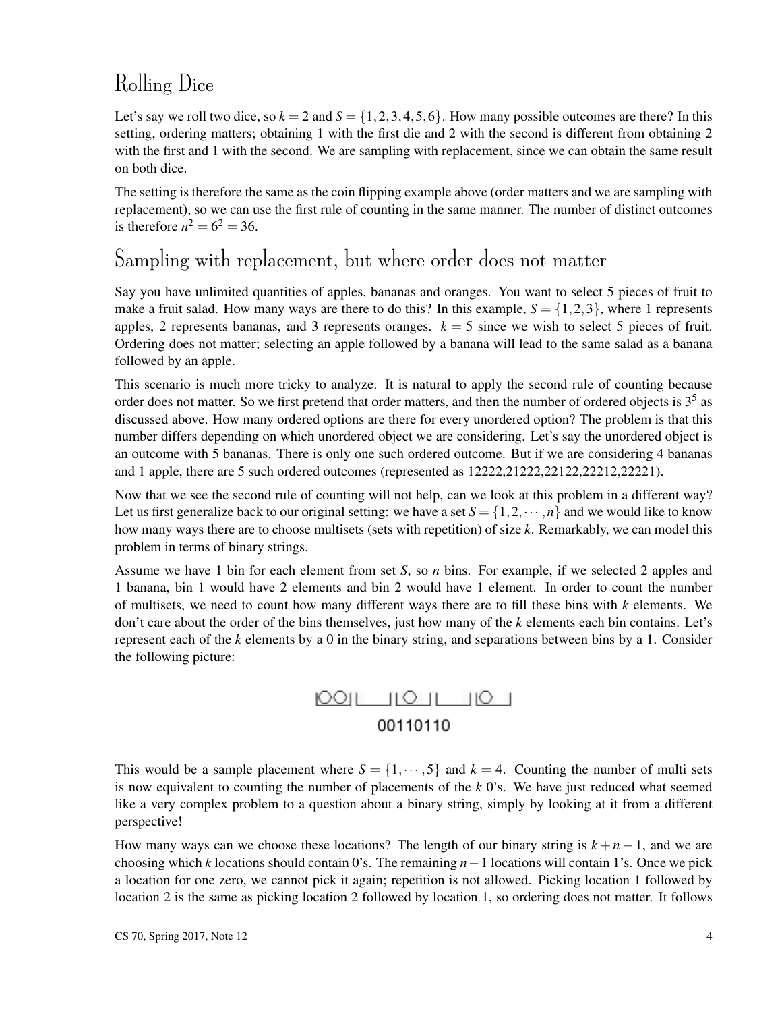# Rolling Dice

Let's say we roll two dice, so  $k = 2$  and  $S = \{1, 2, 3, 4, 5, 6\}$ . How many possible outcomes are there? In this setting, ordering matters; obtaining 1 with the first die and 2 with the second is different from obtaining 2 with the first and 1 with the second. We are sampling with replacement, since we can obtain the same result on both dice.

The setting is therefore the same as the coin flipping example above (order matters and we are sampling with replacement), so we can use the first rule of counting in the same manner. The number of distinct outcomes is therefore  $n^2 = 6^2 = 36$ .

#### Sampling with replacement, but where order does not matter

Say you have unlimited quantities of apples, bananas and oranges. You want to select 5 pieces of fruit to make a fruit salad. How many ways are there to do this? In this example,  $S = \{1,2,3\}$ , where 1 represents apples, 2 represents bananas, and 3 represents oranges.  $k = 5$  since we wish to select 5 pieces of fruit. Ordering does not matter; selecting an apple followed by a banana will lead to the same salad as a banana followed by an apple.

This scenario is much more tricky to analyze. It is natural to apply the second rule of counting because order does not matter. So we first pretend that order matters, and then the number of ordered objects is 3<sup>5</sup> as discussed above. How many ordered options are there for every unordered option? The problem is that this number differs depending on which unordered object we are considering. Let's say the unordered object is an outcome with 5 bananas. There is only one such ordered outcome. But if we are considering 4 bananas and 1 apple, there are 5 such ordered outcomes (represented as  $12222,21222,22122,22212,22221$ ).

Now that we see the second rule of counting will not help, can we look at this problem in a different way? Let us first generalize back to our original setting: we have a set  $S = \{1, 2, \dots, n\}$  and we would like to know how many ways there are to choose multisets (sets with repetition) of size *k*. Remarkably, we can model this problem in terms of binary strings.

Assume we have 1 bin for each element from set *S*, so *n* bins. For example, if we selected 2 apples and 1 banana, bin 1 would have 2 elements and bin 2 would have 1 element. In order to count the number of multisets, we need to count how many different ways there are to fill these bins with *k* elements. We don't care about the order of the bins themselves, just how many of the *k* elements each bin contains. Let's represent each of the *k* elements by a 0 in the binary string, and separations between bins by a 1. Consider the following picture:



This would be a sample placement where  $S = \{1, \dots, 5\}$  and  $k = 4$ . Counting the number of multi sets is now equivalent to counting the number of placements of the *k* 0's. We have just reduced what seemed like a very complex problem to a question about a binary string, simply by looking at it from a different perspective!

How many ways can we choose these locations? The length of our binary string is  $k + n - 1$ , and we are choosing which *k* locations should contain 0's. The remaining *n*−1 locations will contain 1's. Once we pick a location for one zero, we cannot pick it again; repetition is not allowed. Picking location 1 followed by location 2 is the same as picking location 2 followed by location 1, so ordering does not matter. It follows